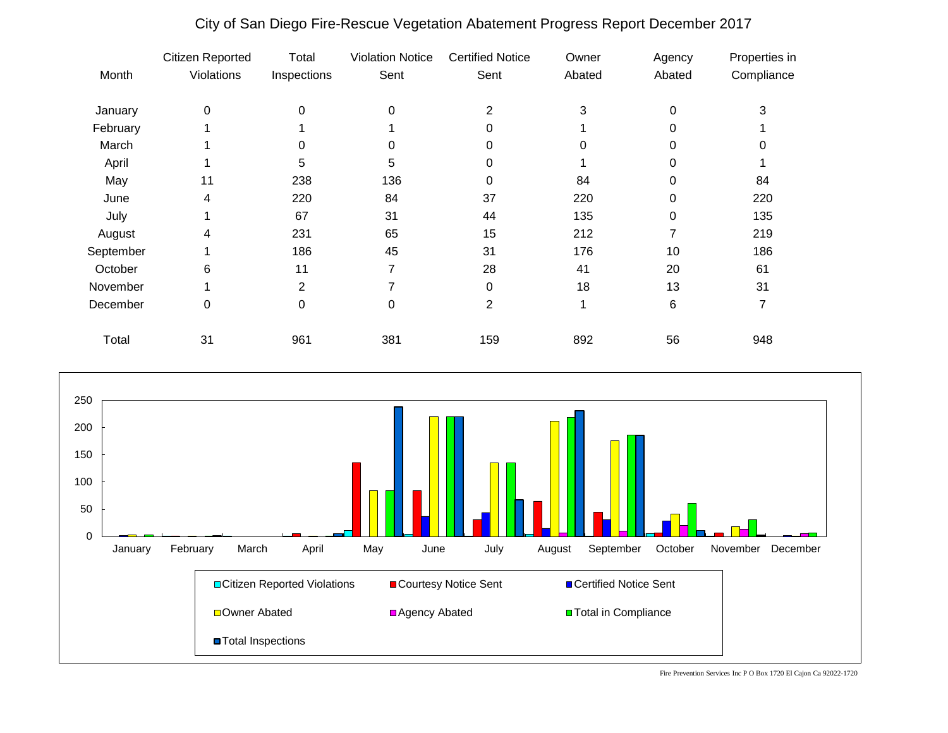|           | Citizen Reported | Total       | <b>Violation Notice</b> | <b>Certified Notice</b> | Owner  | Agency | Properties in |
|-----------|------------------|-------------|-------------------------|-------------------------|--------|--------|---------------|
| Month     | Violations       | Inspections | Sent                    | Sent                    | Abated | Abated | Compliance    |
| January   | $\pmb{0}$        | $\Omega$    | 0                       | $\overline{2}$          | 3      | 0      | 3             |
| February  |                  |             |                         | 0                       |        | 0      |               |
| March     |                  | $\Omega$    | 0                       | 0                       | 0      | 0      |               |
| April     |                  | 5           | 5                       | 0                       |        |        |               |
| May       | 11               | 238         | 136                     | 0                       | 84     | 0      | 84            |
| June      | 4                | 220         | 84                      | 37                      | 220    | 0      | 220           |
| July      |                  | 67          | 31                      | 44                      | 135    | 0      | 135           |
| August    | 4                | 231         | 65                      | 15                      | 212    |        | 219           |
| September |                  | 186         | 45                      | 31                      | 176    | 10     | 186           |
| October   | 6                | 11          | 7                       | 28                      | 41     | 20     | 61            |
| November  |                  | 2           |                         | 0                       | 18     | 13     | 31            |
| December  | 0                | 0           | 0                       | 2                       |        | 6      |               |
| Total     | 31               | 961         | 381                     | 159                     | 892    | 56     | 948           |

## City of San Diego Fire-Rescue Vegetation Abatement Progress Report December 2017



Fire Prevention Services Inc P O Box 1720 El Cajon Ca 92022-1720